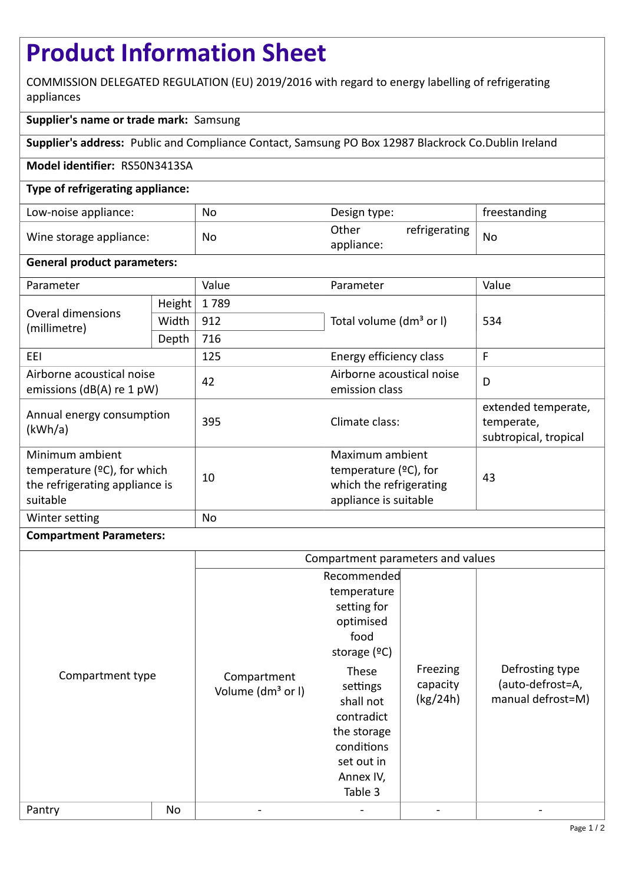# **Product Information Sheet**

COMMISSION DELEGATED REGULATION (EU) 2019/2016 with regard to energy labelling of refrigerating appliances

## **Supplier's name or trade mark:** Samsung

**Supplier's address:** Public and Compliance Contact, Samsung PO Box 12987 Blackrock Co.Dublin Ireland

### **Model identifier:** RS50N3413SA

### **Type of refrigerating appliance:**

| Low-noise appliance:    | No | Design type:                         | freestanding |
|-------------------------|----|--------------------------------------|--------------|
| Wine storage appliance: | No | Other<br>refrigerating<br>appliance: | <b>No</b>    |

### **General product parameters:**

| Parameter                                                                                              |        | Value | Parameter                                                                                       | Value                                                      |
|--------------------------------------------------------------------------------------------------------|--------|-------|-------------------------------------------------------------------------------------------------|------------------------------------------------------------|
| <b>Overal dimensions</b><br>(millimetre)                                                               | Height | 1789  |                                                                                                 | 534                                                        |
|                                                                                                        | Width  | 912   | Total volume (dm <sup>3</sup> or I)                                                             |                                                            |
|                                                                                                        | Depth  | 716   |                                                                                                 |                                                            |
| EEI                                                                                                    |        | 125   | Energy efficiency class                                                                         | F                                                          |
| Airborne acoustical noise<br>emissions ( $dB(A)$ re 1 pW)                                              |        | 42    | Airborne acoustical noise<br>emission class                                                     | D                                                          |
| Annual energy consumption<br>(kWh/a)                                                                   |        | 395   | Climate class:                                                                                  | extended temperate,<br>temperate,<br>subtropical, tropical |
| Minimum ambient<br>temperature ( $\degree$ C), for which<br>the refrigerating appliance is<br>suitable |        | 10    | Maximum ambient<br>temperature $(2C)$ , for<br>which the refrigerating<br>appliance is suitable | 43                                                         |
| Winter setting                                                                                         |        | No    |                                                                                                 |                                                            |

### **Compartment Parameters:**

|                  |    | Compartment parameters and values            |                                                                                                                                  |                                  |                                                          |
|------------------|----|----------------------------------------------|----------------------------------------------------------------------------------------------------------------------------------|----------------------------------|----------------------------------------------------------|
| Compartment type |    | Compartment<br>Volume (dm <sup>3</sup> or I) | Recommended<br>temperature<br>setting for<br>optimised<br>food<br>storage $(°C)$<br>These<br>settings<br>shall not<br>contradict | Freezing<br>capacity<br>(kg/24h) | Defrosting type<br>(auto-defrost=A,<br>manual defrost=M) |
|                  |    |                                              | the storage<br>conditions<br>set out in<br>Annex IV,<br>Table 3                                                                  |                                  |                                                          |
| Pantry           | No |                                              |                                                                                                                                  |                                  |                                                          |